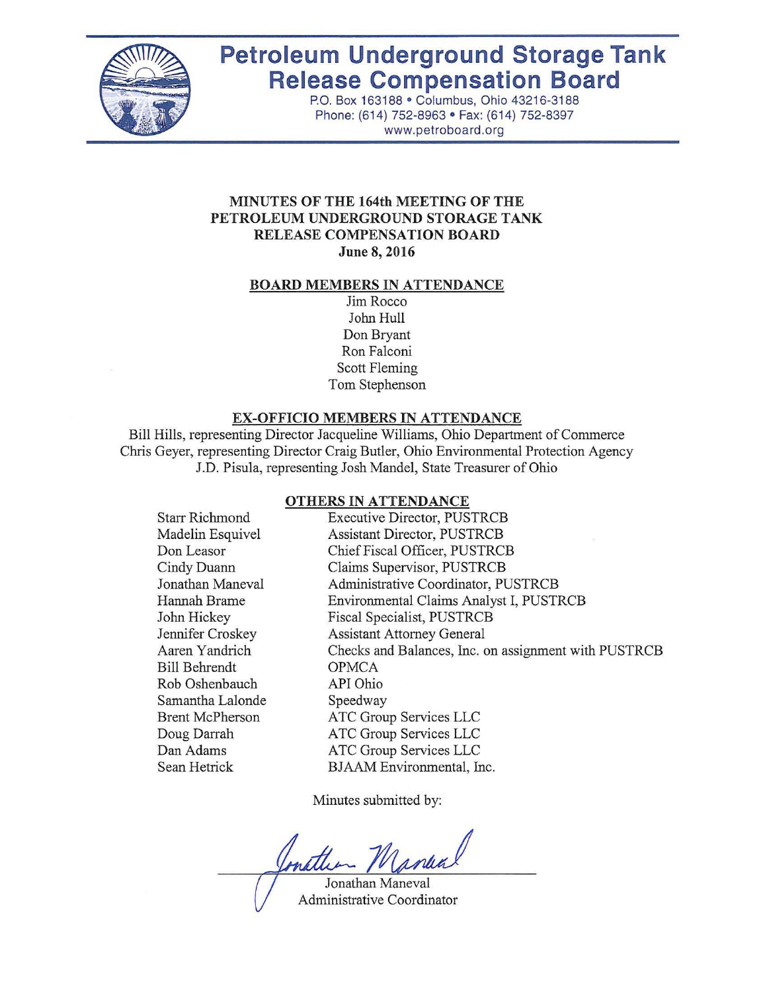

# **Petroleum Underground Storage Tank Release Compensation Board**

P.O. Box 163188 · Columbus, Ohio 43216-3188 Phone: (614) 752-8963 · Fax: (614) 752-8397 www.petroboard.org

## **MINUTES OF THE 164th MEETING OF THE PETROLEUM UNDERGROUND STORAGE TANK RELEASE COMPENSATION BOARD June 8, 2016**

#### **BOARD MEMBERS IN ATTENDANCE**

Jim Rocco John **Hull** Don Bryant Ron Falconi Scott Fleming Tom Stephenson

#### **EX-OFFICIO MEMBERS IN ATTENDANCE**

Bill Hills, representing Director Jacqueline Williams, Ohio Department of Commerce Chris Geyer, representing Director Craig Butler, Ohio Environmental Protection Agency J.D. Pisula, representing Josh Mandel, State Treasurer of Ohio

#### **OTHERS IN ATTENDANCE**

| <b>Starr Richmond</b>  | <b>Executive Director, PUSTRCB</b>                   |
|------------------------|------------------------------------------------------|
| Madelin Esquivel       | <b>Assistant Director, PUSTRCB</b>                   |
| Don Leasor             | Chief Fiscal Officer, PUSTRCB                        |
| Cindy Duann            | Claims Supervisor, PUSTRCB                           |
| Jonathan Maneval       | Administrative Coordinator, PUSTRCB                  |
| Hannah Brame           | Environmental Claims Analyst I, PUSTRCB              |
| John Hickey            | Fiscal Specialist, PUSTRCB                           |
| Jennifer Croskey       | <b>Assistant Attorney General</b>                    |
| Aaren Yandrich         | Checks and Balances, Inc. on assignment with PUSTRCB |
| <b>Bill Behrendt</b>   | <b>OPMCA</b>                                         |
| Rob Oshenbauch         | API Ohio                                             |
| Samantha Lalonde       | Speedway                                             |
| <b>Brent McPherson</b> | ATC Group Services LLC                               |
| Doug Darrah            | ATC Group Services LLC                               |
| Dan Adams              | ATC Group Services LLC                               |
| Sean Hetrick           | BJAAM Environmental, Inc.                            |

Minutes submitted by:

nattin Manual

Jonathan Maneval Administrative Coordinator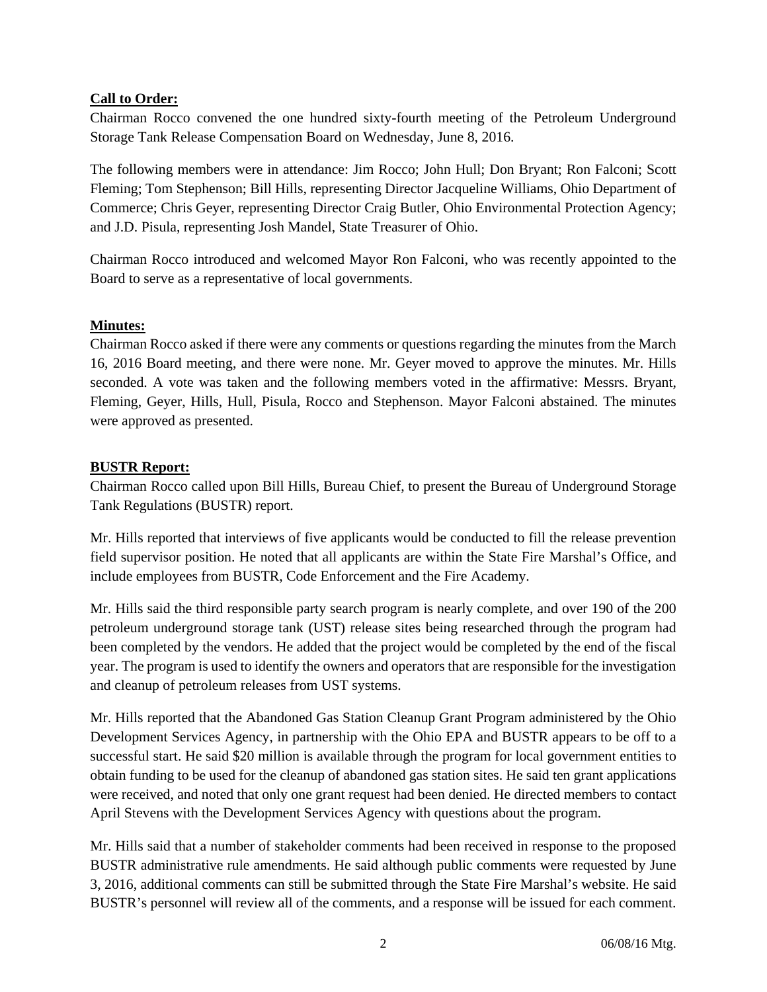## **Call to Order:**

Chairman Rocco convened the one hundred sixty-fourth meeting of the Petroleum Underground Storage Tank Release Compensation Board on Wednesday, June 8, 2016.

The following members were in attendance: Jim Rocco; John Hull; Don Bryant; Ron Falconi; Scott Fleming; Tom Stephenson; Bill Hills, representing Director Jacqueline Williams, Ohio Department of Commerce; Chris Geyer, representing Director Craig Butler, Ohio Environmental Protection Agency; and J.D. Pisula, representing Josh Mandel, State Treasurer of Ohio.

Chairman Rocco introduced and welcomed Mayor Ron Falconi, who was recently appointed to the Board to serve as a representative of local governments.

## **Minutes:**

Chairman Rocco asked if there were any comments or questions regarding the minutes from the March 16, 2016 Board meeting, and there were none. Mr. Geyer moved to approve the minutes. Mr. Hills seconded. A vote was taken and the following members voted in the affirmative: Messrs. Bryant, Fleming, Geyer, Hills, Hull, Pisula, Rocco and Stephenson. Mayor Falconi abstained. The minutes were approved as presented.

## **BUSTR Report:**

Chairman Rocco called upon Bill Hills, Bureau Chief, to present the Bureau of Underground Storage Tank Regulations (BUSTR) report.

Mr. Hills reported that interviews of five applicants would be conducted to fill the release prevention field supervisor position. He noted that all applicants are within the State Fire Marshal's Office, and include employees from BUSTR, Code Enforcement and the Fire Academy.

Mr. Hills said the third responsible party search program is nearly complete, and over 190 of the 200 petroleum underground storage tank (UST) release sites being researched through the program had been completed by the vendors. He added that the project would be completed by the end of the fiscal year. The program is used to identify the owners and operators that are responsible for the investigation and cleanup of petroleum releases from UST systems.

Mr. Hills reported that the Abandoned Gas Station Cleanup Grant Program administered by the Ohio Development Services Agency, in partnership with the Ohio EPA and BUSTR appears to be off to a successful start. He said \$20 million is available through the program for local government entities to obtain funding to be used for the cleanup of abandoned gas station sites. He said ten grant applications were received, and noted that only one grant request had been denied. He directed members to contact April Stevens with the Development Services Agency with questions about the program.

Mr. Hills said that a number of stakeholder comments had been received in response to the proposed BUSTR administrative rule amendments. He said although public comments were requested by June 3, 2016, additional comments can still be submitted through the State Fire Marshal's website. He said BUSTR's personnel will review all of the comments, and a response will be issued for each comment.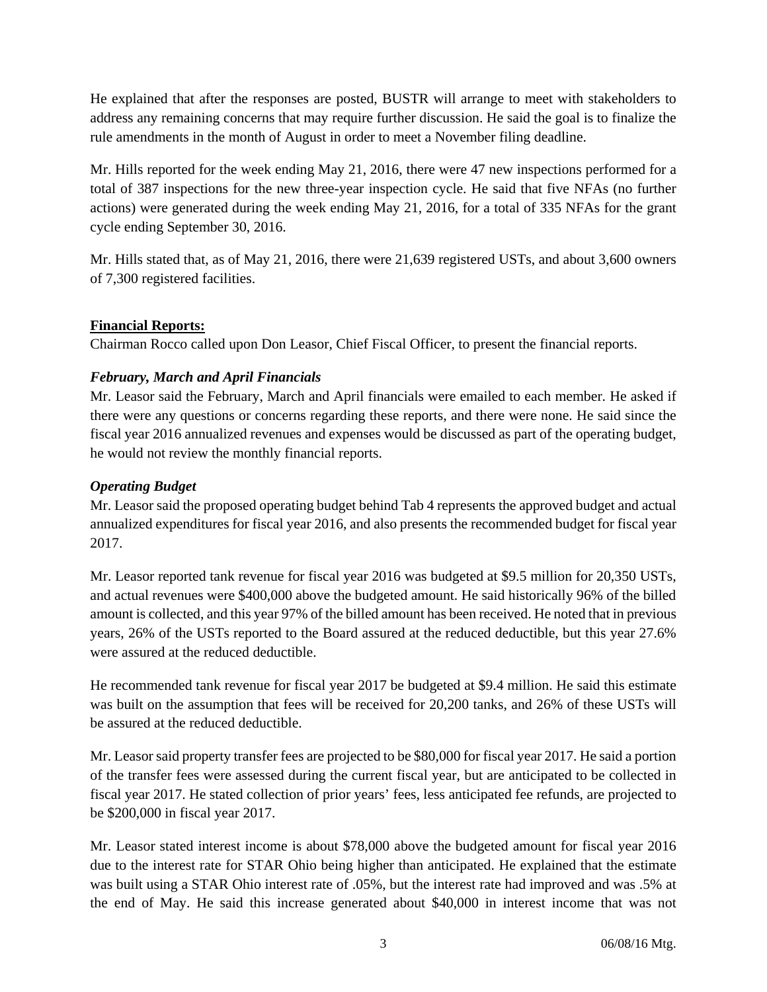He explained that after the responses are posted, BUSTR will arrange to meet with stakeholders to address any remaining concerns that may require further discussion. He said the goal is to finalize the rule amendments in the month of August in order to meet a November filing deadline.

Mr. Hills reported for the week ending May 21, 2016, there were 47 new inspections performed for a total of 387 inspections for the new three-year inspection cycle. He said that five NFAs (no further actions) were generated during the week ending May 21, 2016, for a total of 335 NFAs for the grant cycle ending September 30, 2016.

Mr. Hills stated that, as of May 21, 2016, there were 21,639 registered USTs, and about 3,600 owners of 7,300 registered facilities.

## **Financial Reports:**

Chairman Rocco called upon Don Leasor, Chief Fiscal Officer, to present the financial reports.

# *February, March and April Financials*

Mr. Leasor said the February, March and April financials were emailed to each member. He asked if there were any questions or concerns regarding these reports, and there were none. He said since the fiscal year 2016 annualized revenues and expenses would be discussed as part of the operating budget, he would not review the monthly financial reports.

## *Operating Budget*

Mr. Leasor said the proposed operating budget behind Tab 4 represents the approved budget and actual annualized expenditures for fiscal year 2016, and also presents the recommended budget for fiscal year 2017.

Mr. Leasor reported tank revenue for fiscal year 2016 was budgeted at \$9.5 million for 20,350 USTs, and actual revenues were \$400,000 above the budgeted amount. He said historically 96% of the billed amount is collected, and this year 97% of the billed amount has been received. He noted that in previous years, 26% of the USTs reported to the Board assured at the reduced deductible, but this year 27.6% were assured at the reduced deductible.

He recommended tank revenue for fiscal year 2017 be budgeted at \$9.4 million. He said this estimate was built on the assumption that fees will be received for 20,200 tanks, and 26% of these USTs will be assured at the reduced deductible.

Mr. Leasor said property transfer fees are projected to be \$80,000 for fiscal year 2017. He said a portion of the transfer fees were assessed during the current fiscal year, but are anticipated to be collected in fiscal year 2017. He stated collection of prior years' fees, less anticipated fee refunds, are projected to be \$200,000 in fiscal year 2017.

Mr. Leasor stated interest income is about \$78,000 above the budgeted amount for fiscal year 2016 due to the interest rate for STAR Ohio being higher than anticipated. He explained that the estimate was built using a STAR Ohio interest rate of .05%, but the interest rate had improved and was .5% at the end of May. He said this increase generated about \$40,000 in interest income that was not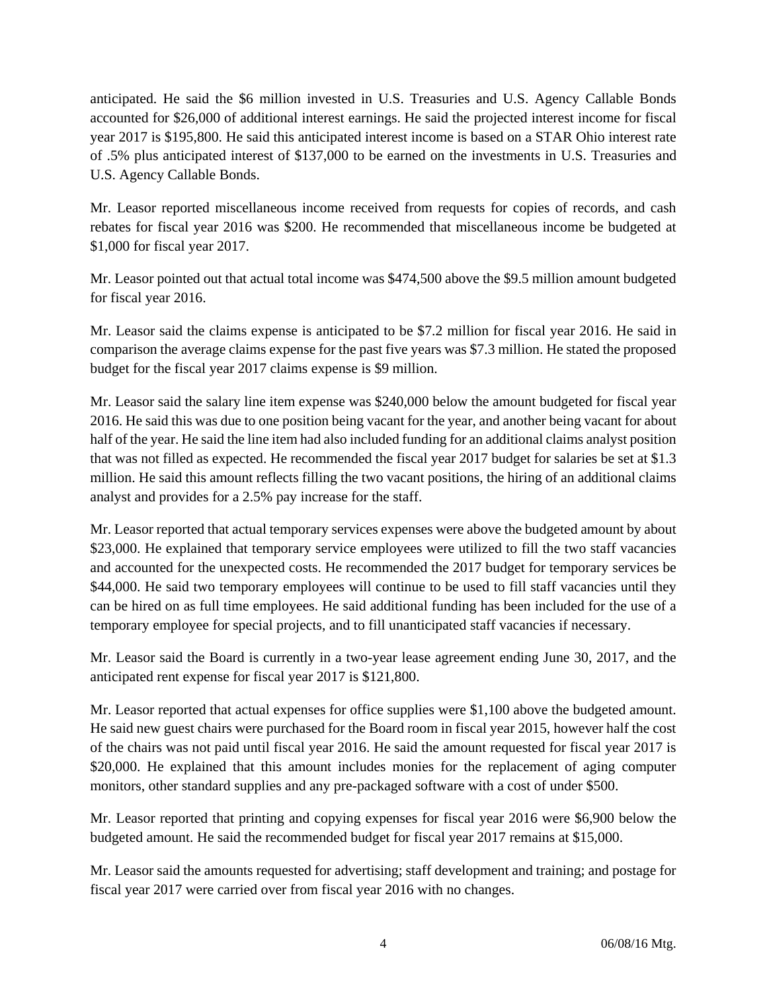anticipated. He said the \$6 million invested in U.S. Treasuries and U.S. Agency Callable Bonds accounted for \$26,000 of additional interest earnings. He said the projected interest income for fiscal year 2017 is \$195,800. He said this anticipated interest income is based on a STAR Ohio interest rate of .5% plus anticipated interest of \$137,000 to be earned on the investments in U.S. Treasuries and U.S. Agency Callable Bonds.

Mr. Leasor reported miscellaneous income received from requests for copies of records, and cash rebates for fiscal year 2016 was \$200. He recommended that miscellaneous income be budgeted at \$1,000 for fiscal year 2017.

Mr. Leasor pointed out that actual total income was \$474,500 above the \$9.5 million amount budgeted for fiscal year 2016.

Mr. Leasor said the claims expense is anticipated to be \$7.2 million for fiscal year 2016. He said in comparison the average claims expense for the past five years was \$7.3 million. He stated the proposed budget for the fiscal year 2017 claims expense is \$9 million.

Mr. Leasor said the salary line item expense was \$240,000 below the amount budgeted for fiscal year 2016. He said this was due to one position being vacant for the year, and another being vacant for about half of the year. He said the line item had also included funding for an additional claims analyst position that was not filled as expected. He recommended the fiscal year 2017 budget for salaries be set at \$1.3 million. He said this amount reflects filling the two vacant positions, the hiring of an additional claims analyst and provides for a 2.5% pay increase for the staff.

Mr. Leasor reported that actual temporary services expenses were above the budgeted amount by about \$23,000. He explained that temporary service employees were utilized to fill the two staff vacancies and accounted for the unexpected costs. He recommended the 2017 budget for temporary services be \$44,000. He said two temporary employees will continue to be used to fill staff vacancies until they can be hired on as full time employees. He said additional funding has been included for the use of a temporary employee for special projects, and to fill unanticipated staff vacancies if necessary.

Mr. Leasor said the Board is currently in a two-year lease agreement ending June 30, 2017, and the anticipated rent expense for fiscal year 2017 is \$121,800.

Mr. Leasor reported that actual expenses for office supplies were \$1,100 above the budgeted amount. He said new guest chairs were purchased for the Board room in fiscal year 2015, however half the cost of the chairs was not paid until fiscal year 2016. He said the amount requested for fiscal year 2017 is \$20,000. He explained that this amount includes monies for the replacement of aging computer monitors, other standard supplies and any pre-packaged software with a cost of under \$500.

Mr. Leasor reported that printing and copying expenses for fiscal year 2016 were \$6,900 below the budgeted amount. He said the recommended budget for fiscal year 2017 remains at \$15,000.

Mr. Leasor said the amounts requested for advertising; staff development and training; and postage for fiscal year 2017 were carried over from fiscal year 2016 with no changes.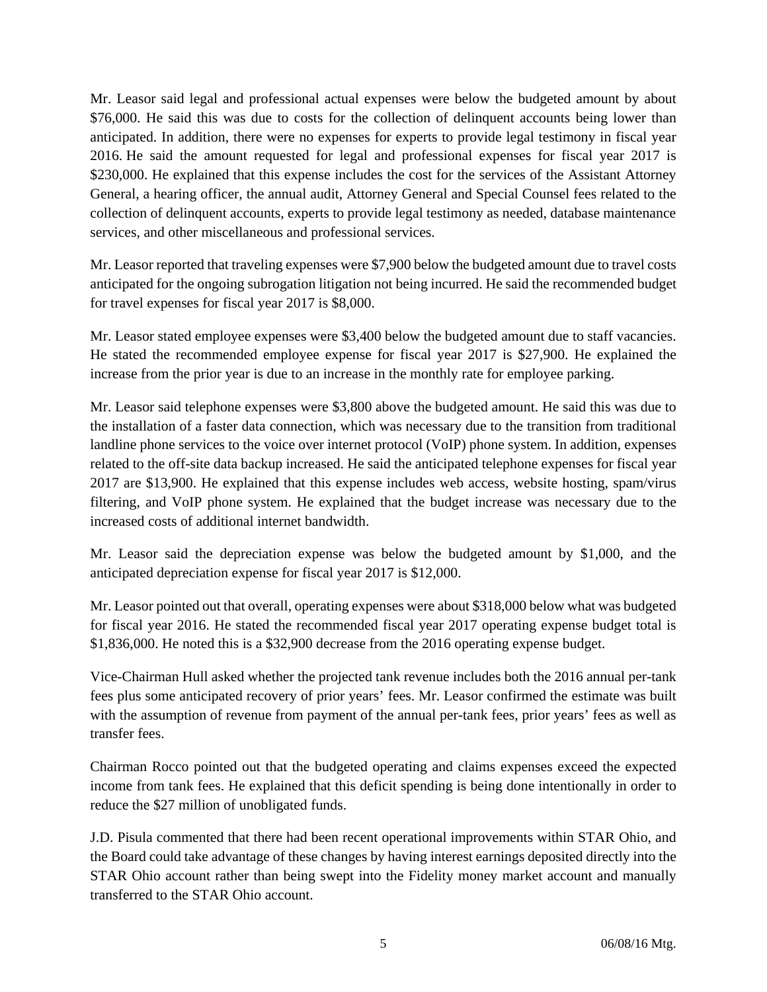Mr. Leasor said legal and professional actual expenses were below the budgeted amount by about \$76,000. He said this was due to costs for the collection of delinquent accounts being lower than anticipated. In addition, there were no expenses for experts to provide legal testimony in fiscal year 2016. He said the amount requested for legal and professional expenses for fiscal year 2017 is \$230,000. He explained that this expense includes the cost for the services of the Assistant Attorney General, a hearing officer, the annual audit, Attorney General and Special Counsel fees related to the collection of delinquent accounts, experts to provide legal testimony as needed, database maintenance services, and other miscellaneous and professional services.

Mr. Leasor reported that traveling expenses were \$7,900 below the budgeted amount due to travel costs anticipated for the ongoing subrogation litigation not being incurred. He said the recommended budget for travel expenses for fiscal year 2017 is \$8,000.

Mr. Leasor stated employee expenses were \$3,400 below the budgeted amount due to staff vacancies. He stated the recommended employee expense for fiscal year 2017 is \$27,900. He explained the increase from the prior year is due to an increase in the monthly rate for employee parking.

Mr. Leasor said telephone expenses were \$3,800 above the budgeted amount. He said this was due to the installation of a faster data connection, which was necessary due to the transition from traditional landline phone services to the voice over internet protocol (VoIP) phone system. In addition, expenses related to the off-site data backup increased. He said the anticipated telephone expenses for fiscal year 2017 are \$13,900. He explained that this expense includes web access, website hosting, spam/virus filtering, and VoIP phone system. He explained that the budget increase was necessary due to the increased costs of additional internet bandwidth.

Mr. Leasor said the depreciation expense was below the budgeted amount by \$1,000, and the anticipated depreciation expense for fiscal year 2017 is \$12,000.

Mr. Leasor pointed out that overall, operating expenses were about \$318,000 below what was budgeted for fiscal year 2016. He stated the recommended fiscal year 2017 operating expense budget total is \$1,836,000. He noted this is a \$32,900 decrease from the 2016 operating expense budget.

Vice-Chairman Hull asked whether the projected tank revenue includes both the 2016 annual per-tank fees plus some anticipated recovery of prior years' fees. Mr. Leasor confirmed the estimate was built with the assumption of revenue from payment of the annual per-tank fees, prior years' fees as well as transfer fees.

Chairman Rocco pointed out that the budgeted operating and claims expenses exceed the expected income from tank fees. He explained that this deficit spending is being done intentionally in order to reduce the \$27 million of unobligated funds.

J.D. Pisula commented that there had been recent operational improvements within STAR Ohio, and the Board could take advantage of these changes by having interest earnings deposited directly into the STAR Ohio account rather than being swept into the Fidelity money market account and manually transferred to the STAR Ohio account.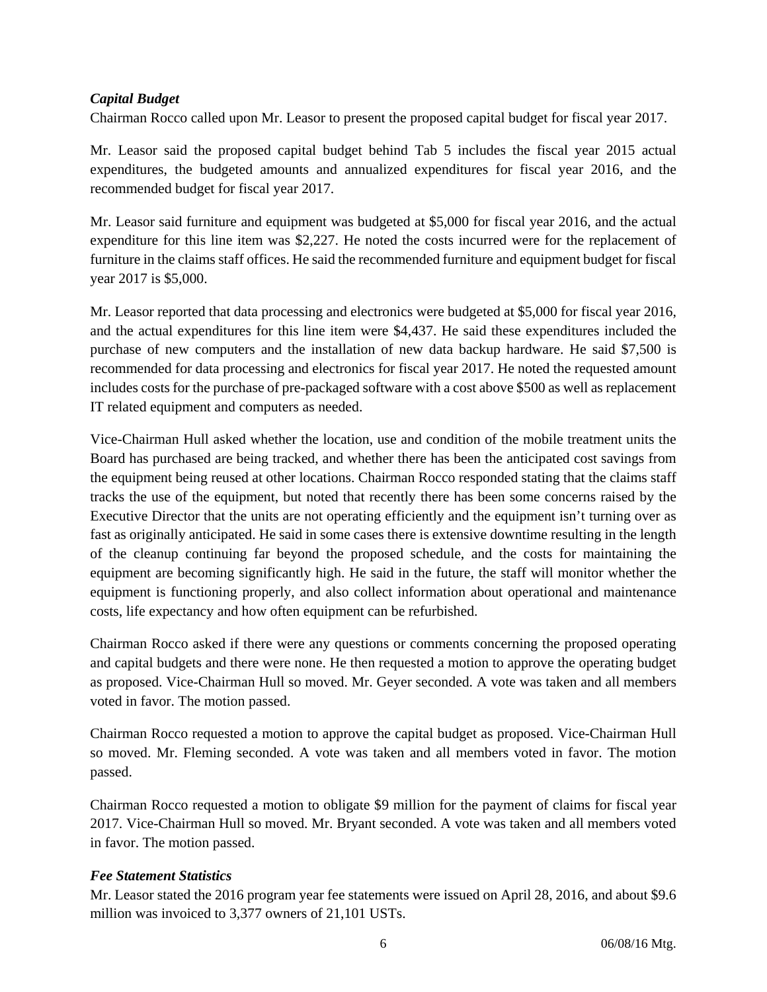# *Capital Budget*

Chairman Rocco called upon Mr. Leasor to present the proposed capital budget for fiscal year 2017.

Mr. Leasor said the proposed capital budget behind Tab 5 includes the fiscal year 2015 actual expenditures, the budgeted amounts and annualized expenditures for fiscal year 2016, and the recommended budget for fiscal year 2017.

Mr. Leasor said furniture and equipment was budgeted at \$5,000 for fiscal year 2016, and the actual expenditure for this line item was \$2,227. He noted the costs incurred were for the replacement of furniture in the claims staff offices. He said the recommended furniture and equipment budget for fiscal year 2017 is \$5,000.

Mr. Leasor reported that data processing and electronics were budgeted at \$5,000 for fiscal year 2016, and the actual expenditures for this line item were \$4,437. He said these expenditures included the purchase of new computers and the installation of new data backup hardware. He said \$7,500 is recommended for data processing and electronics for fiscal year 2017. He noted the requested amount includes costs for the purchase of pre-packaged software with a cost above \$500 as well as replacement IT related equipment and computers as needed.

Vice-Chairman Hull asked whether the location, use and condition of the mobile treatment units the Board has purchased are being tracked, and whether there has been the anticipated cost savings from the equipment being reused at other locations. Chairman Rocco responded stating that the claims staff tracks the use of the equipment, but noted that recently there has been some concerns raised by the Executive Director that the units are not operating efficiently and the equipment isn't turning over as fast as originally anticipated. He said in some cases there is extensive downtime resulting in the length of the cleanup continuing far beyond the proposed schedule, and the costs for maintaining the equipment are becoming significantly high. He said in the future, the staff will monitor whether the equipment is functioning properly, and also collect information about operational and maintenance costs, life expectancy and how often equipment can be refurbished.

Chairman Rocco asked if there were any questions or comments concerning the proposed operating and capital budgets and there were none. He then requested a motion to approve the operating budget as proposed. Vice-Chairman Hull so moved. Mr. Geyer seconded. A vote was taken and all members voted in favor. The motion passed.

Chairman Rocco requested a motion to approve the capital budget as proposed. Vice-Chairman Hull so moved. Mr. Fleming seconded. A vote was taken and all members voted in favor. The motion passed.

Chairman Rocco requested a motion to obligate \$9 million for the payment of claims for fiscal year 2017. Vice-Chairman Hull so moved. Mr. Bryant seconded. A vote was taken and all members voted in favor. The motion passed.

## *Fee Statement Statistics*

Mr. Leasor stated the 2016 program year fee statements were issued on April 28, 2016, and about \$9.6 million was invoiced to 3,377 owners of 21,101 USTs.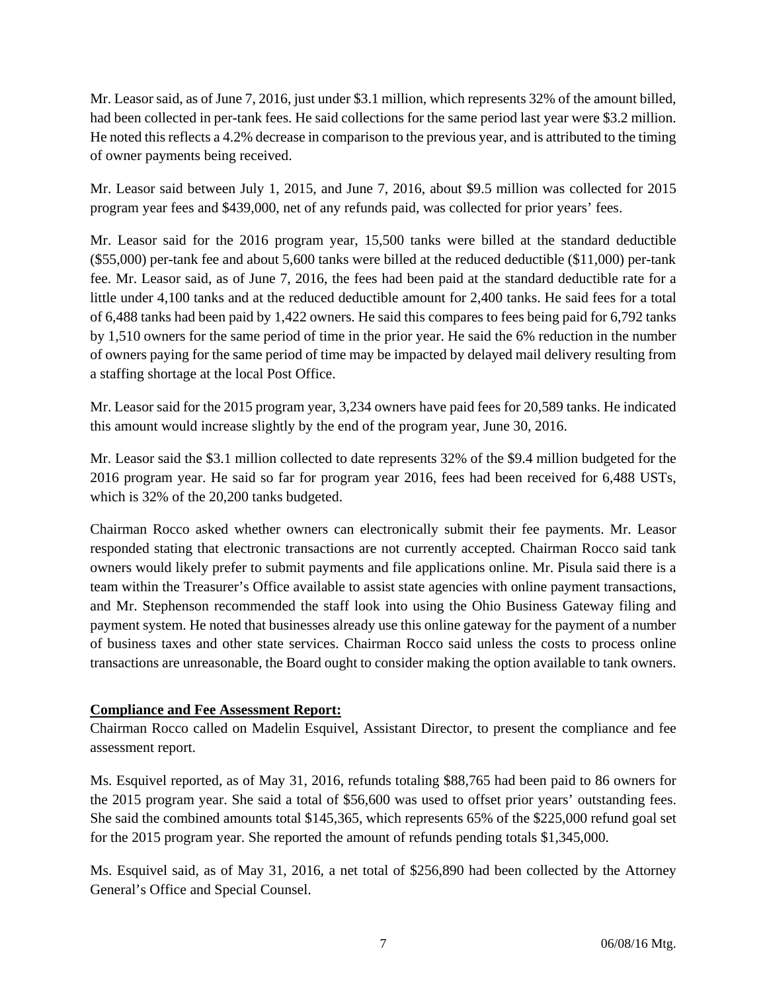Mr. Leasor said, as of June 7, 2016, just under \$3.1 million, which represents 32% of the amount billed, had been collected in per-tank fees. He said collections for the same period last year were \$3.2 million. He noted this reflects a 4.2% decrease in comparison to the previous year, and is attributed to the timing of owner payments being received.

Mr. Leasor said between July 1, 2015, and June 7, 2016, about \$9.5 million was collected for 2015 program year fees and \$439,000, net of any refunds paid, was collected for prior years' fees.

Mr. Leasor said for the 2016 program year, 15,500 tanks were billed at the standard deductible (\$55,000) per-tank fee and about 5,600 tanks were billed at the reduced deductible (\$11,000) per-tank fee. Mr. Leasor said, as of June 7, 2016, the fees had been paid at the standard deductible rate for a little under 4,100 tanks and at the reduced deductible amount for 2,400 tanks. He said fees for a total of 6,488 tanks had been paid by 1,422 owners. He said this compares to fees being paid for 6,792 tanks by 1,510 owners for the same period of time in the prior year. He said the 6% reduction in the number of owners paying for the same period of time may be impacted by delayed mail delivery resulting from a staffing shortage at the local Post Office.

Mr. Leasor said for the 2015 program year, 3,234 owners have paid fees for 20,589 tanks. He indicated this amount would increase slightly by the end of the program year, June 30, 2016.

Mr. Leasor said the \$3.1 million collected to date represents 32% of the \$9.4 million budgeted for the 2016 program year. He said so far for program year 2016, fees had been received for 6,488 USTs, which is 32% of the 20,200 tanks budgeted.

Chairman Rocco asked whether owners can electronically submit their fee payments. Mr. Leasor responded stating that electronic transactions are not currently accepted. Chairman Rocco said tank owners would likely prefer to submit payments and file applications online. Mr. Pisula said there is a team within the Treasurer's Office available to assist state agencies with online payment transactions, and Mr. Stephenson recommended the staff look into using the Ohio Business Gateway filing and payment system. He noted that businesses already use this online gateway for the payment of a number of business taxes and other state services. Chairman Rocco said unless the costs to process online transactions are unreasonable, the Board ought to consider making the option available to tank owners.

## **Compliance and Fee Assessment Report:**

Chairman Rocco called on Madelin Esquivel, Assistant Director, to present the compliance and fee assessment report.

Ms. Esquivel reported, as of May 31, 2016, refunds totaling \$88,765 had been paid to 86 owners for the 2015 program year. She said a total of \$56,600 was used to offset prior years' outstanding fees. She said the combined amounts total \$145,365, which represents 65% of the \$225,000 refund goal set for the 2015 program year. She reported the amount of refunds pending totals \$1,345,000.

Ms. Esquivel said, as of May 31, 2016, a net total of \$256,890 had been collected by the Attorney General's Office and Special Counsel.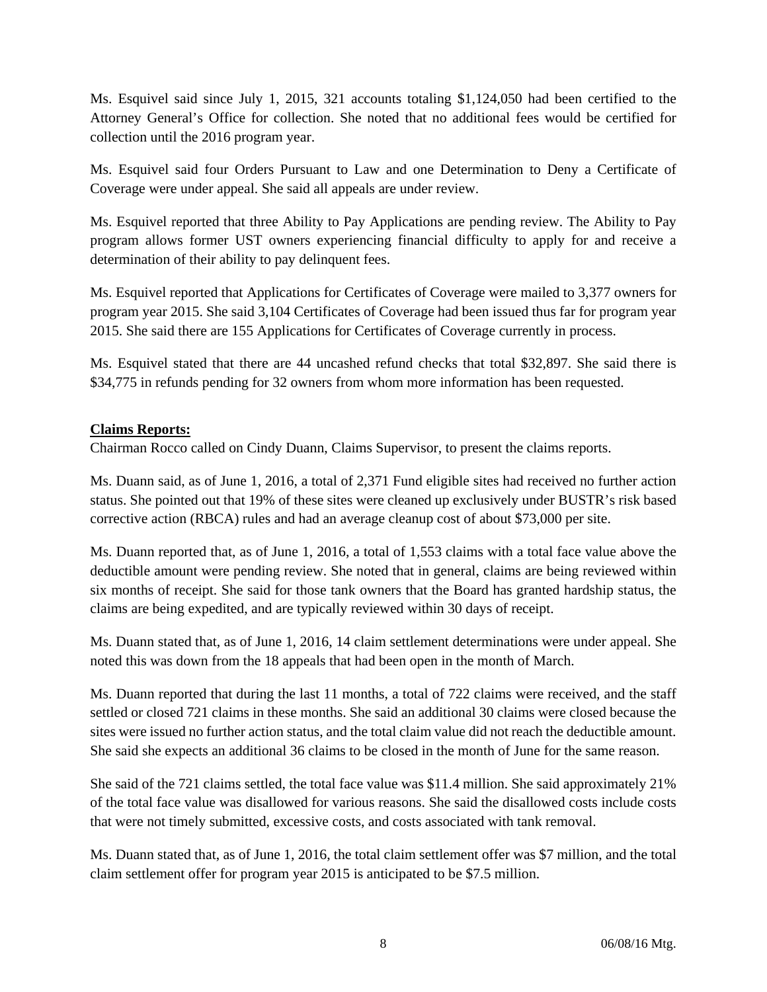Ms. Esquivel said since July 1, 2015, 321 accounts totaling \$1,124,050 had been certified to the Attorney General's Office for collection. She noted that no additional fees would be certified for collection until the 2016 program year.

Ms. Esquivel said four Orders Pursuant to Law and one Determination to Deny a Certificate of Coverage were under appeal. She said all appeals are under review.

Ms. Esquivel reported that three Ability to Pay Applications are pending review. The Ability to Pay program allows former UST owners experiencing financial difficulty to apply for and receive a determination of their ability to pay delinquent fees.

Ms. Esquivel reported that Applications for Certificates of Coverage were mailed to 3,377 owners for program year 2015. She said 3,104 Certificates of Coverage had been issued thus far for program year 2015. She said there are 155 Applications for Certificates of Coverage currently in process.

Ms. Esquivel stated that there are 44 uncashed refund checks that total \$32,897. She said there is \$34,775 in refunds pending for 32 owners from whom more information has been requested.

## **Claims Reports:**

Chairman Rocco called on Cindy Duann, Claims Supervisor, to present the claims reports.

Ms. Duann said, as of June 1, 2016, a total of 2,371 Fund eligible sites had received no further action status. She pointed out that 19% of these sites were cleaned up exclusively under BUSTR's risk based corrective action (RBCA) rules and had an average cleanup cost of about \$73,000 per site.

Ms. Duann reported that, as of June 1, 2016, a total of 1,553 claims with a total face value above the deductible amount were pending review. She noted that in general, claims are being reviewed within six months of receipt. She said for those tank owners that the Board has granted hardship status, the claims are being expedited, and are typically reviewed within 30 days of receipt.

Ms. Duann stated that, as of June 1, 2016, 14 claim settlement determinations were under appeal. She noted this was down from the 18 appeals that had been open in the month of March.

Ms. Duann reported that during the last 11 months, a total of 722 claims were received, and the staff settled or closed 721 claims in these months. She said an additional 30 claims were closed because the sites were issued no further action status, and the total claim value did not reach the deductible amount. She said she expects an additional 36 claims to be closed in the month of June for the same reason.

She said of the 721 claims settled, the total face value was \$11.4 million. She said approximately 21% of the total face value was disallowed for various reasons. She said the disallowed costs include costs that were not timely submitted, excessive costs, and costs associated with tank removal.

Ms. Duann stated that, as of June 1, 2016, the total claim settlement offer was \$7 million, and the total claim settlement offer for program year 2015 is anticipated to be \$7.5 million.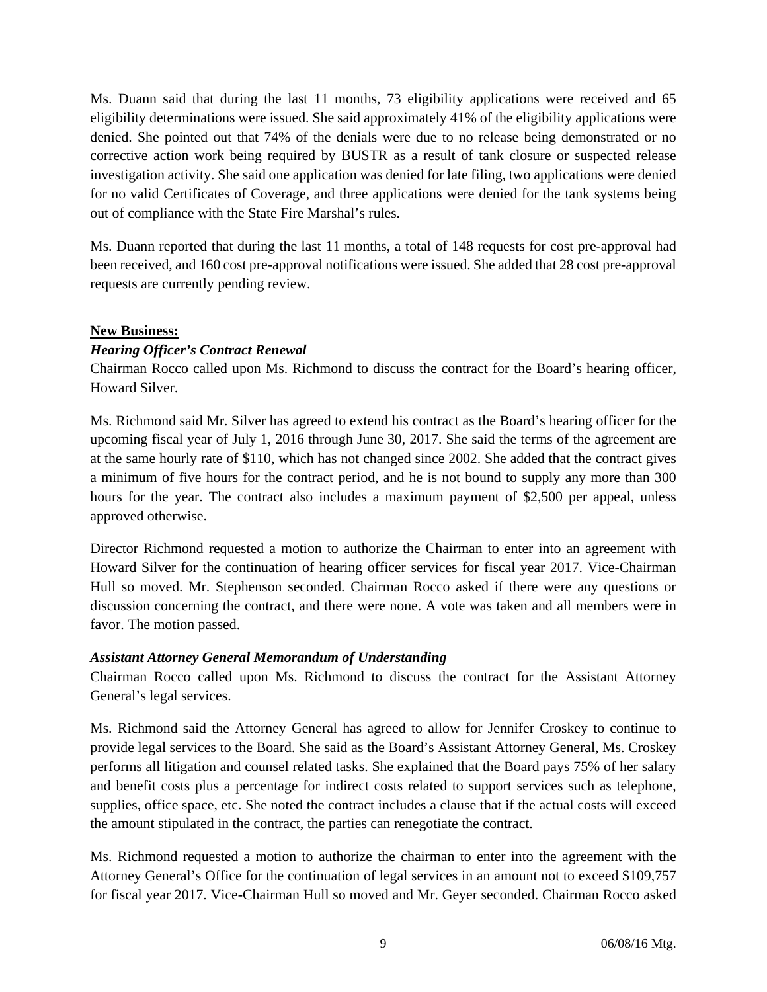Ms. Duann said that during the last 11 months, 73 eligibility applications were received and 65 eligibility determinations were issued. She said approximately 41% of the eligibility applications were denied. She pointed out that 74% of the denials were due to no release being demonstrated or no corrective action work being required by BUSTR as a result of tank closure or suspected release investigation activity. She said one application was denied for late filing, two applications were denied for no valid Certificates of Coverage, and three applications were denied for the tank systems being out of compliance with the State Fire Marshal's rules.

Ms. Duann reported that during the last 11 months, a total of 148 requests for cost pre-approval had been received, and 160 cost pre-approval notifications were issued. She added that 28 cost pre-approval requests are currently pending review.

## **New Business:**

## *Hearing Officer's Contract Renewal*

Chairman Rocco called upon Ms. Richmond to discuss the contract for the Board's hearing officer, Howard Silver.

Ms. Richmond said Mr. Silver has agreed to extend his contract as the Board's hearing officer for the upcoming fiscal year of July 1, 2016 through June 30, 2017. She said the terms of the agreement are at the same hourly rate of \$110, which has not changed since 2002. She added that the contract gives a minimum of five hours for the contract period, and he is not bound to supply any more than 300 hours for the year. The contract also includes a maximum payment of \$2,500 per appeal, unless approved otherwise.

Director Richmond requested a motion to authorize the Chairman to enter into an agreement with Howard Silver for the continuation of hearing officer services for fiscal year 2017. Vice-Chairman Hull so moved. Mr. Stephenson seconded. Chairman Rocco asked if there were any questions or discussion concerning the contract, and there were none. A vote was taken and all members were in favor. The motion passed.

## *Assistant Attorney General Memorandum of Understanding*

Chairman Rocco called upon Ms. Richmond to discuss the contract for the Assistant Attorney General's legal services.

Ms. Richmond said the Attorney General has agreed to allow for Jennifer Croskey to continue to provide legal services to the Board. She said as the Board's Assistant Attorney General, Ms. Croskey performs all litigation and counsel related tasks. She explained that the Board pays 75% of her salary and benefit costs plus a percentage for indirect costs related to support services such as telephone, supplies, office space, etc. She noted the contract includes a clause that if the actual costs will exceed the amount stipulated in the contract, the parties can renegotiate the contract.

Ms. Richmond requested a motion to authorize the chairman to enter into the agreement with the Attorney General's Office for the continuation of legal services in an amount not to exceed \$109,757 for fiscal year 2017. Vice-Chairman Hull so moved and Mr. Geyer seconded. Chairman Rocco asked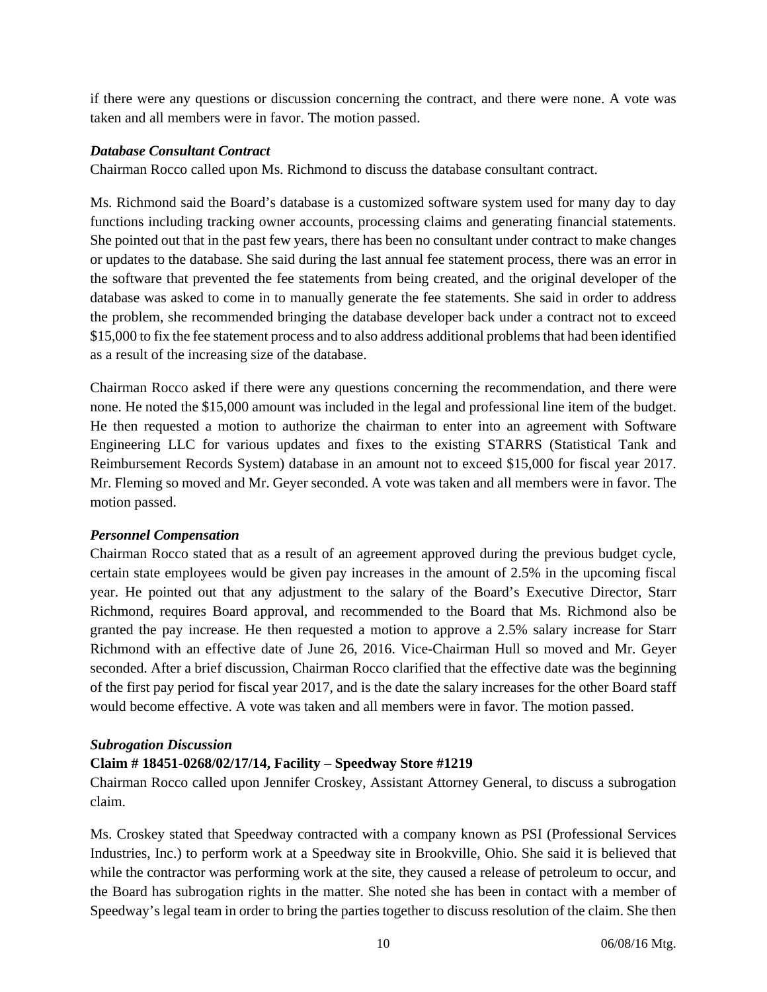if there were any questions or discussion concerning the contract, and there were none. A vote was taken and all members were in favor. The motion passed.

#### *Database Consultant Contract*

Chairman Rocco called upon Ms. Richmond to discuss the database consultant contract.

Ms. Richmond said the Board's database is a customized software system used for many day to day functions including tracking owner accounts, processing claims and generating financial statements. She pointed out that in the past few years, there has been no consultant under contract to make changes or updates to the database. She said during the last annual fee statement process, there was an error in the software that prevented the fee statements from being created, and the original developer of the database was asked to come in to manually generate the fee statements. She said in order to address the problem, she recommended bringing the database developer back under a contract not to exceed \$15,000 to fix the fee statement process and to also address additional problems that had been identified as a result of the increasing size of the database.

Chairman Rocco asked if there were any questions concerning the recommendation, and there were none. He noted the \$15,000 amount was included in the legal and professional line item of the budget. He then requested a motion to authorize the chairman to enter into an agreement with Software Engineering LLC for various updates and fixes to the existing STARRS (Statistical Tank and Reimbursement Records System) database in an amount not to exceed \$15,000 for fiscal year 2017. Mr. Fleming so moved and Mr. Geyer seconded. A vote was taken and all members were in favor. The motion passed.

## *Personnel Compensation*

Chairman Rocco stated that as a result of an agreement approved during the previous budget cycle, certain state employees would be given pay increases in the amount of 2.5% in the upcoming fiscal year. He pointed out that any adjustment to the salary of the Board's Executive Director, Starr Richmond, requires Board approval, and recommended to the Board that Ms. Richmond also be granted the pay increase. He then requested a motion to approve a 2.5% salary increase for Starr Richmond with an effective date of June 26, 2016. Vice-Chairman Hull so moved and Mr. Geyer seconded. After a brief discussion, Chairman Rocco clarified that the effective date was the beginning of the first pay period for fiscal year 2017, and is the date the salary increases for the other Board staff would become effective. A vote was taken and all members were in favor. The motion passed.

#### *Subrogation Discussion*

## **Claim # 18451-0268/02/17/14, Facility – Speedway Store #1219**

Chairman Rocco called upon Jennifer Croskey, Assistant Attorney General, to discuss a subrogation claim.

Ms. Croskey stated that Speedway contracted with a company known as PSI (Professional Services Industries, Inc.) to perform work at a Speedway site in Brookville, Ohio. She said it is believed that while the contractor was performing work at the site, they caused a release of petroleum to occur, and the Board has subrogation rights in the matter. She noted she has been in contact with a member of Speedway's legal team in order to bring the parties together to discuss resolution of the claim. She then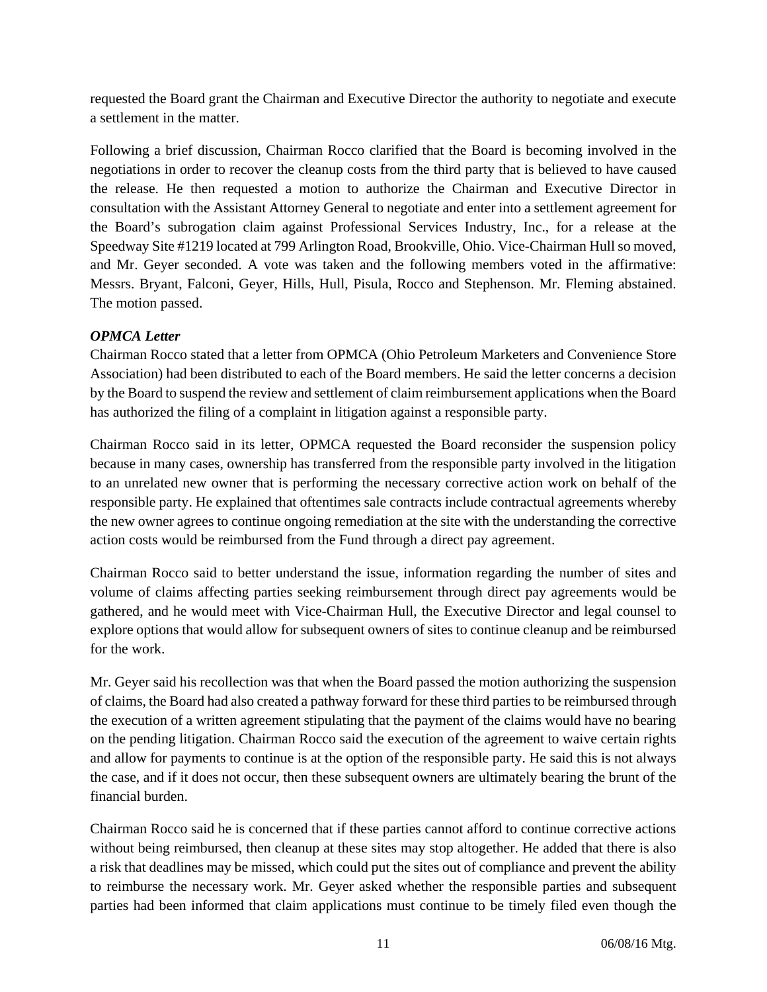requested the Board grant the Chairman and Executive Director the authority to negotiate and execute a settlement in the matter.

Following a brief discussion, Chairman Rocco clarified that the Board is becoming involved in the negotiations in order to recover the cleanup costs from the third party that is believed to have caused the release. He then requested a motion to authorize the Chairman and Executive Director in consultation with the Assistant Attorney General to negotiate and enter into a settlement agreement for the Board's subrogation claim against Professional Services Industry, Inc., for a release at the Speedway Site #1219 located at 799 Arlington Road, Brookville, Ohio. Vice-Chairman Hull so moved, and Mr. Geyer seconded. A vote was taken and the following members voted in the affirmative: Messrs. Bryant, Falconi, Geyer, Hills, Hull, Pisula, Rocco and Stephenson. Mr. Fleming abstained. The motion passed.

## *OPMCA Letter*

Chairman Rocco stated that a letter from OPMCA (Ohio Petroleum Marketers and Convenience Store Association) had been distributed to each of the Board members. He said the letter concerns a decision by the Board to suspend the review and settlement of claim reimbursement applications when the Board has authorized the filing of a complaint in litigation against a responsible party.

Chairman Rocco said in its letter, OPMCA requested the Board reconsider the suspension policy because in many cases, ownership has transferred from the responsible party involved in the litigation to an unrelated new owner that is performing the necessary corrective action work on behalf of the responsible party. He explained that oftentimes sale contracts include contractual agreements whereby the new owner agrees to continue ongoing remediation at the site with the understanding the corrective action costs would be reimbursed from the Fund through a direct pay agreement.

Chairman Rocco said to better understand the issue, information regarding the number of sites and volume of claims affecting parties seeking reimbursement through direct pay agreements would be gathered, and he would meet with Vice-Chairman Hull, the Executive Director and legal counsel to explore options that would allow for subsequent owners of sites to continue cleanup and be reimbursed for the work.

Mr. Geyer said his recollection was that when the Board passed the motion authorizing the suspension of claims, the Board had also created a pathway forward for these third parties to be reimbursed through the execution of a written agreement stipulating that the payment of the claims would have no bearing on the pending litigation. Chairman Rocco said the execution of the agreement to waive certain rights and allow for payments to continue is at the option of the responsible party. He said this is not always the case, and if it does not occur, then these subsequent owners are ultimately bearing the brunt of the financial burden.

Chairman Rocco said he is concerned that if these parties cannot afford to continue corrective actions without being reimbursed, then cleanup at these sites may stop altogether. He added that there is also a risk that deadlines may be missed, which could put the sites out of compliance and prevent the ability to reimburse the necessary work. Mr. Geyer asked whether the responsible parties and subsequent parties had been informed that claim applications must continue to be timely filed even though the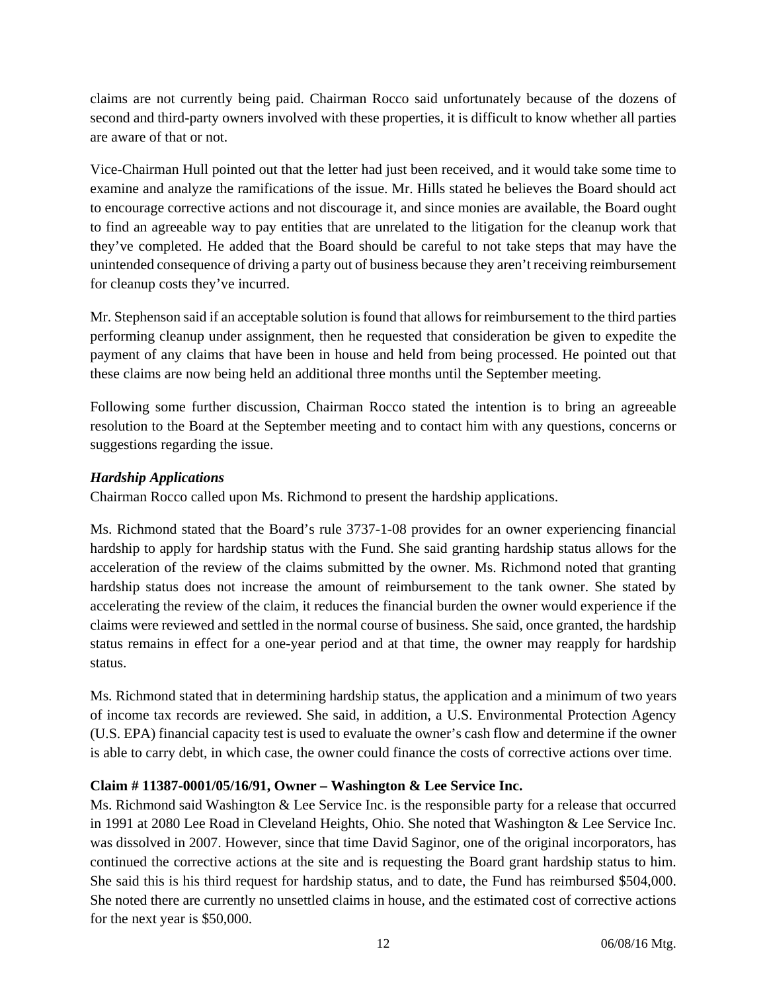claims are not currently being paid. Chairman Rocco said unfortunately because of the dozens of second and third-party owners involved with these properties, it is difficult to know whether all parties are aware of that or not.

Vice-Chairman Hull pointed out that the letter had just been received, and it would take some time to examine and analyze the ramifications of the issue. Mr. Hills stated he believes the Board should act to encourage corrective actions and not discourage it, and since monies are available, the Board ought to find an agreeable way to pay entities that are unrelated to the litigation for the cleanup work that they've completed. He added that the Board should be careful to not take steps that may have the unintended consequence of driving a party out of business because they aren't receiving reimbursement for cleanup costs they've incurred.

Mr. Stephenson said if an acceptable solution is found that allows for reimbursement to the third parties performing cleanup under assignment, then he requested that consideration be given to expedite the payment of any claims that have been in house and held from being processed. He pointed out that these claims are now being held an additional three months until the September meeting.

Following some further discussion, Chairman Rocco stated the intention is to bring an agreeable resolution to the Board at the September meeting and to contact him with any questions, concerns or suggestions regarding the issue.

## *Hardship Applications*

Chairman Rocco called upon Ms. Richmond to present the hardship applications.

Ms. Richmond stated that the Board's rule 3737-1-08 provides for an owner experiencing financial hardship to apply for hardship status with the Fund. She said granting hardship status allows for the acceleration of the review of the claims submitted by the owner. Ms. Richmond noted that granting hardship status does not increase the amount of reimbursement to the tank owner. She stated by accelerating the review of the claim, it reduces the financial burden the owner would experience if the claims were reviewed and settled in the normal course of business. She said, once granted, the hardship status remains in effect for a one-year period and at that time, the owner may reapply for hardship status.

Ms. Richmond stated that in determining hardship status, the application and a minimum of two years of income tax records are reviewed. She said, in addition, a U.S. Environmental Protection Agency (U.S. EPA) financial capacity test is used to evaluate the owner's cash flow and determine if the owner is able to carry debt, in which case, the owner could finance the costs of corrective actions over time.

## **Claim # 11387-0001/05/16/91, Owner – Washington & Lee Service Inc.**

Ms. Richmond said Washington & Lee Service Inc. is the responsible party for a release that occurred in 1991 at 2080 Lee Road in Cleveland Heights, Ohio. She noted that Washington & Lee Service Inc. was dissolved in 2007. However, since that time David Saginor, one of the original incorporators, has continued the corrective actions at the site and is requesting the Board grant hardship status to him. She said this is his third request for hardship status, and to date, the Fund has reimbursed \$504,000. She noted there are currently no unsettled claims in house, and the estimated cost of corrective actions for the next year is \$50,000.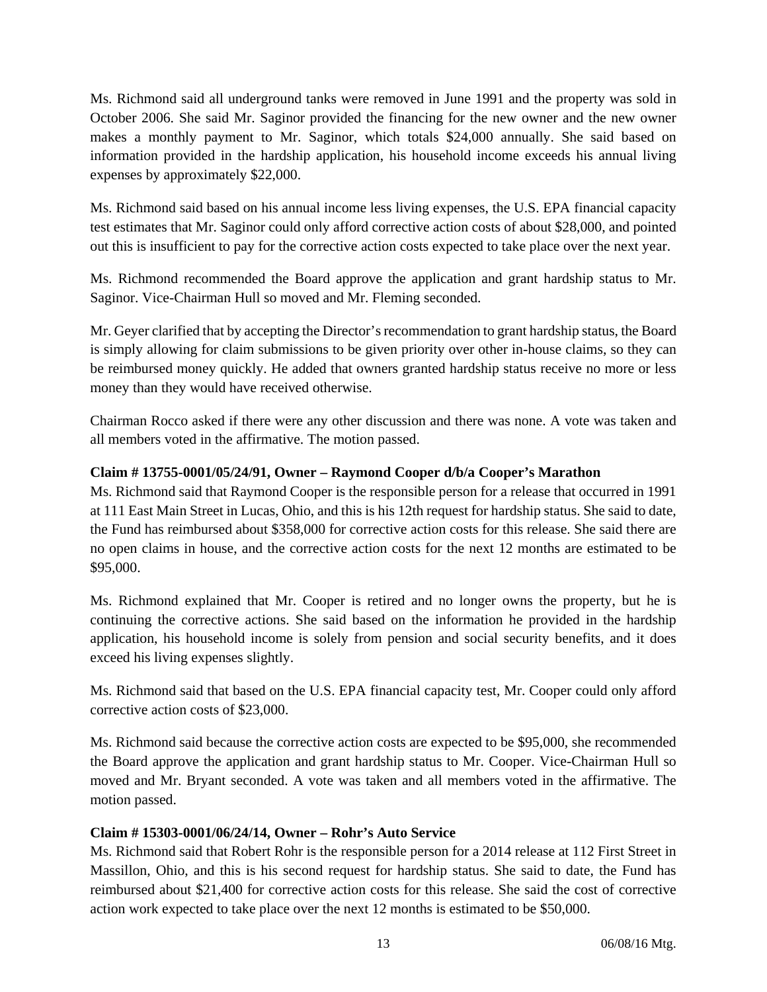Ms. Richmond said all underground tanks were removed in June 1991 and the property was sold in October 2006. She said Mr. Saginor provided the financing for the new owner and the new owner makes a monthly payment to Mr. Saginor, which totals \$24,000 annually. She said based on information provided in the hardship application, his household income exceeds his annual living expenses by approximately \$22,000.

Ms. Richmond said based on his annual income less living expenses, the U.S. EPA financial capacity test estimates that Mr. Saginor could only afford corrective action costs of about \$28,000, and pointed out this is insufficient to pay for the corrective action costs expected to take place over the next year.

Ms. Richmond recommended the Board approve the application and grant hardship status to Mr. Saginor. Vice-Chairman Hull so moved and Mr. Fleming seconded.

Mr. Geyer clarified that by accepting the Director's recommendation to grant hardship status, the Board is simply allowing for claim submissions to be given priority over other in-house claims, so they can be reimbursed money quickly. He added that owners granted hardship status receive no more or less money than they would have received otherwise.

Chairman Rocco asked if there were any other discussion and there was none. A vote was taken and all members voted in the affirmative. The motion passed.

# **Claim # 13755-0001/05/24/91, Owner – Raymond Cooper d/b/a Cooper's Marathon**

Ms. Richmond said that Raymond Cooper is the responsible person for a release that occurred in 1991 at 111 East Main Street in Lucas, Ohio, and this is his 12th request for hardship status. She said to date, the Fund has reimbursed about \$358,000 for corrective action costs for this release. She said there are no open claims in house, and the corrective action costs for the next 12 months are estimated to be \$95,000.

Ms. Richmond explained that Mr. Cooper is retired and no longer owns the property, but he is continuing the corrective actions. She said based on the information he provided in the hardship application, his household income is solely from pension and social security benefits, and it does exceed his living expenses slightly.

Ms. Richmond said that based on the U.S. EPA financial capacity test, Mr. Cooper could only afford corrective action costs of \$23,000.

Ms. Richmond said because the corrective action costs are expected to be \$95,000, she recommended the Board approve the application and grant hardship status to Mr. Cooper. Vice-Chairman Hull so moved and Mr. Bryant seconded. A vote was taken and all members voted in the affirmative. The motion passed.

## **Claim # 15303-0001/06/24/14, Owner – Rohr's Auto Service**

Ms. Richmond said that Robert Rohr is the responsible person for a 2014 release at 112 First Street in Massillon, Ohio, and this is his second request for hardship status. She said to date, the Fund has reimbursed about \$21,400 for corrective action costs for this release. She said the cost of corrective action work expected to take place over the next 12 months is estimated to be \$50,000.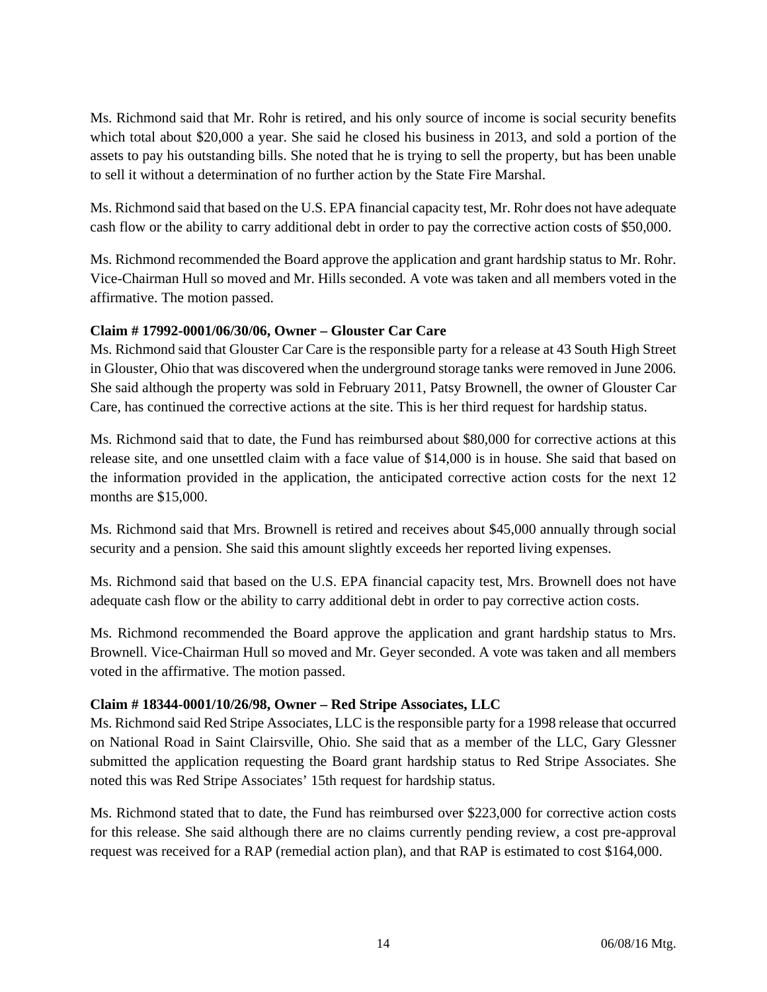Ms. Richmond said that Mr. Rohr is retired, and his only source of income is social security benefits which total about \$20,000 a year. She said he closed his business in 2013, and sold a portion of the assets to pay his outstanding bills. She noted that he is trying to sell the property, but has been unable to sell it without a determination of no further action by the State Fire Marshal.

Ms. Richmond said that based on the U.S. EPA financial capacity test, Mr. Rohr does not have adequate cash flow or the ability to carry additional debt in order to pay the corrective action costs of \$50,000.

Ms. Richmond recommended the Board approve the application and grant hardship status to Mr. Rohr. Vice-Chairman Hull so moved and Mr. Hills seconded. A vote was taken and all members voted in the affirmative. The motion passed.

## **Claim # 17992-0001/06/30/06, Owner – Glouster Car Care**

Ms. Richmond said that Glouster Car Care is the responsible party for a release at 43 South High Street in Glouster, Ohio that was discovered when the underground storage tanks were removed in June 2006. She said although the property was sold in February 2011, Patsy Brownell, the owner of Glouster Car Care, has continued the corrective actions at the site. This is her third request for hardship status.

Ms. Richmond said that to date, the Fund has reimbursed about \$80,000 for corrective actions at this release site, and one unsettled claim with a face value of \$14,000 is in house. She said that based on the information provided in the application, the anticipated corrective action costs for the next 12 months are \$15,000.

Ms. Richmond said that Mrs. Brownell is retired and receives about \$45,000 annually through social security and a pension. She said this amount slightly exceeds her reported living expenses.

Ms. Richmond said that based on the U.S. EPA financial capacity test, Mrs. Brownell does not have adequate cash flow or the ability to carry additional debt in order to pay corrective action costs.

Ms. Richmond recommended the Board approve the application and grant hardship status to Mrs. Brownell. Vice-Chairman Hull so moved and Mr. Geyer seconded. A vote was taken and all members voted in the affirmative. The motion passed.

## **Claim # 18344-0001/10/26/98, Owner – Red Stripe Associates, LLC**

Ms. Richmond said Red Stripe Associates, LLC is the responsible party for a 1998 release that occurred on National Road in Saint Clairsville, Ohio. She said that as a member of the LLC, Gary Glessner submitted the application requesting the Board grant hardship status to Red Stripe Associates. She noted this was Red Stripe Associates' 15th request for hardship status.

Ms. Richmond stated that to date, the Fund has reimbursed over \$223,000 for corrective action costs for this release. She said although there are no claims currently pending review, a cost pre-approval request was received for a RAP (remedial action plan), and that RAP is estimated to cost \$164,000.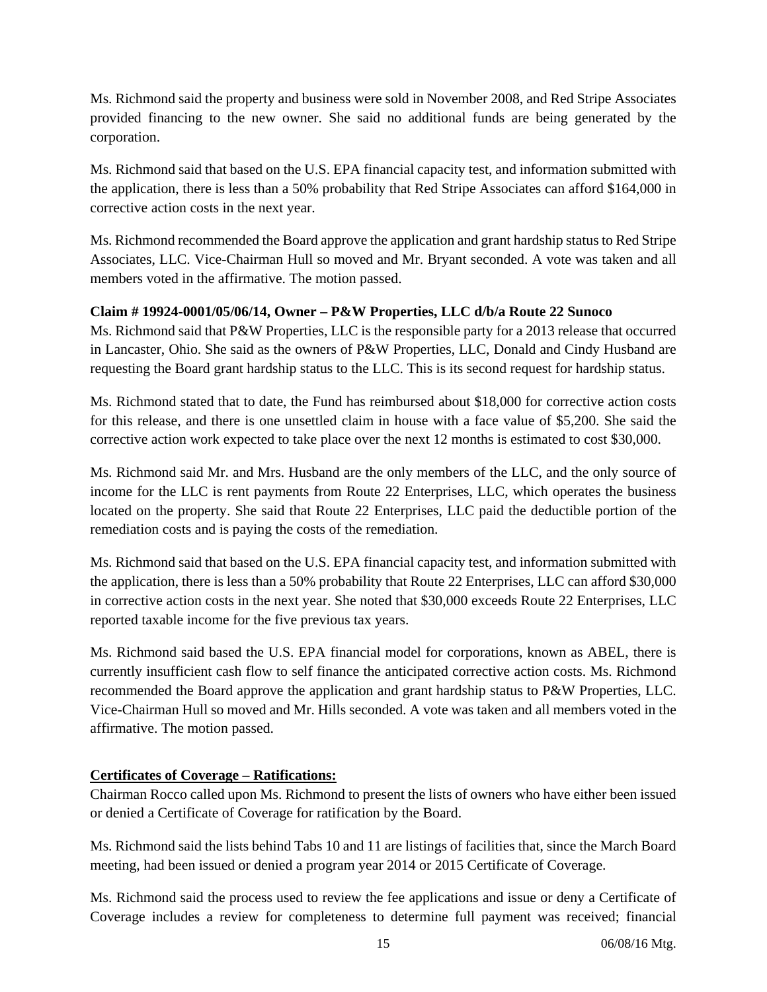Ms. Richmond said the property and business were sold in November 2008, and Red Stripe Associates provided financing to the new owner. She said no additional funds are being generated by the corporation.

Ms. Richmond said that based on the U.S. EPA financial capacity test, and information submitted with the application, there is less than a 50% probability that Red Stripe Associates can afford \$164,000 in corrective action costs in the next year.

Ms. Richmond recommended the Board approve the application and grant hardship status to Red Stripe Associates, LLC. Vice-Chairman Hull so moved and Mr. Bryant seconded. A vote was taken and all members voted in the affirmative. The motion passed.

## **Claim # 19924-0001/05/06/14, Owner – P&W Properties, LLC d/b/a Route 22 Sunoco**

Ms. Richmond said that P&W Properties, LLC is the responsible party for a 2013 release that occurred in Lancaster, Ohio. She said as the owners of P&W Properties, LLC, Donald and Cindy Husband are requesting the Board grant hardship status to the LLC. This is its second request for hardship status.

Ms. Richmond stated that to date, the Fund has reimbursed about \$18,000 for corrective action costs for this release, and there is one unsettled claim in house with a face value of \$5,200. She said the corrective action work expected to take place over the next 12 months is estimated to cost \$30,000.

Ms. Richmond said Mr. and Mrs. Husband are the only members of the LLC, and the only source of income for the LLC is rent payments from Route 22 Enterprises, LLC, which operates the business located on the property. She said that Route 22 Enterprises, LLC paid the deductible portion of the remediation costs and is paying the costs of the remediation.

Ms. Richmond said that based on the U.S. EPA financial capacity test, and information submitted with the application, there is less than a 50% probability that Route 22 Enterprises, LLC can afford \$30,000 in corrective action costs in the next year. She noted that \$30,000 exceeds Route 22 Enterprises, LLC reported taxable income for the five previous tax years.

Ms. Richmond said based the U.S. EPA financial model for corporations, known as ABEL, there is currently insufficient cash flow to self finance the anticipated corrective action costs. Ms. Richmond recommended the Board approve the application and grant hardship status to P&W Properties, LLC. Vice-Chairman Hull so moved and Mr. Hills seconded. A vote was taken and all members voted in the affirmative. The motion passed.

# **Certificates of Coverage – Ratifications:**

Chairman Rocco called upon Ms. Richmond to present the lists of owners who have either been issued or denied a Certificate of Coverage for ratification by the Board.

Ms. Richmond said the lists behind Tabs 10 and 11 are listings of facilities that, since the March Board meeting, had been issued or denied a program year 2014 or 2015 Certificate of Coverage.

Ms. Richmond said the process used to review the fee applications and issue or deny a Certificate of Coverage includes a review for completeness to determine full payment was received; financial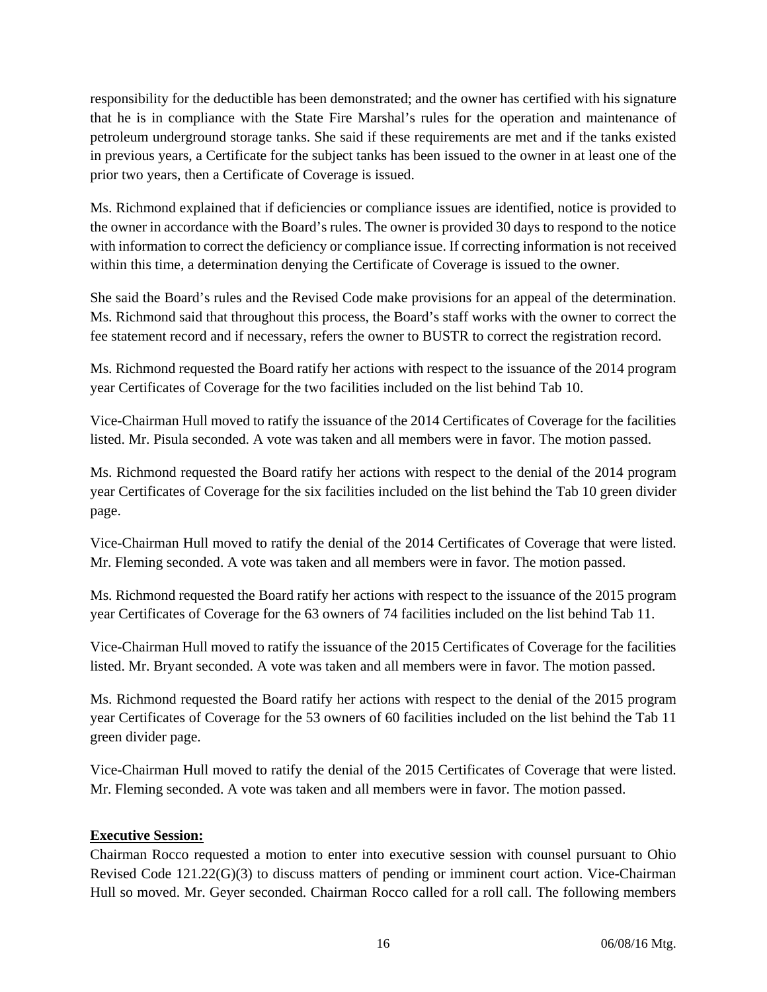responsibility for the deductible has been demonstrated; and the owner has certified with his signature that he is in compliance with the State Fire Marshal's rules for the operation and maintenance of petroleum underground storage tanks. She said if these requirements are met and if the tanks existed in previous years, a Certificate for the subject tanks has been issued to the owner in at least one of the prior two years, then a Certificate of Coverage is issued.

Ms. Richmond explained that if deficiencies or compliance issues are identified, notice is provided to the owner in accordance with the Board's rules. The owner is provided 30 days to respond to the notice with information to correct the deficiency or compliance issue. If correcting information is not received within this time, a determination denying the Certificate of Coverage is issued to the owner.

She said the Board's rules and the Revised Code make provisions for an appeal of the determination. Ms. Richmond said that throughout this process, the Board's staff works with the owner to correct the fee statement record and if necessary, refers the owner to BUSTR to correct the registration record.

Ms. Richmond requested the Board ratify her actions with respect to the issuance of the 2014 program year Certificates of Coverage for the two facilities included on the list behind Tab 10.

Vice-Chairman Hull moved to ratify the issuance of the 2014 Certificates of Coverage for the facilities listed. Mr. Pisula seconded. A vote was taken and all members were in favor. The motion passed.

Ms. Richmond requested the Board ratify her actions with respect to the denial of the 2014 program year Certificates of Coverage for the six facilities included on the list behind the Tab 10 green divider page.

Vice-Chairman Hull moved to ratify the denial of the 2014 Certificates of Coverage that were listed. Mr. Fleming seconded. A vote was taken and all members were in favor. The motion passed.

Ms. Richmond requested the Board ratify her actions with respect to the issuance of the 2015 program year Certificates of Coverage for the 63 owners of 74 facilities included on the list behind Tab 11.

Vice-Chairman Hull moved to ratify the issuance of the 2015 Certificates of Coverage for the facilities listed. Mr. Bryant seconded. A vote was taken and all members were in favor. The motion passed.

Ms. Richmond requested the Board ratify her actions with respect to the denial of the 2015 program year Certificates of Coverage for the 53 owners of 60 facilities included on the list behind the Tab 11 green divider page.

Vice-Chairman Hull moved to ratify the denial of the 2015 Certificates of Coverage that were listed. Mr. Fleming seconded. A vote was taken and all members were in favor. The motion passed.

# **Executive Session:**

Chairman Rocco requested a motion to enter into executive session with counsel pursuant to Ohio Revised Code 121.22(G)(3) to discuss matters of pending or imminent court action. Vice-Chairman Hull so moved. Mr. Geyer seconded. Chairman Rocco called for a roll call. The following members